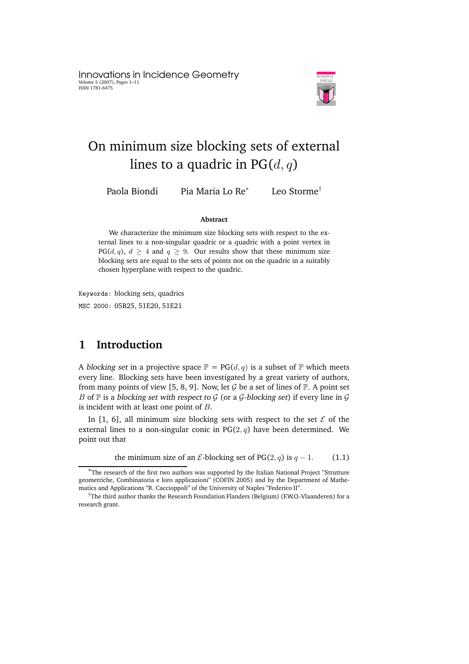Innovations in Incidence Geometry Volume 5 (2007), Pages 1–11 ISSN 1781-6475



# On minimum size blocking sets of external lines to a quadric in  $PG(d, q)$

Paola Biondi Pia Maria Lo Re ∗

Leo Storme†

#### **Abstract**

We characterize the minimum size blocking sets with respect to the external lines to a non-singular quadric or a quadric with a point vertex in PG(d, q),  $d \geq 4$  and  $q \geq 9$ . Our results show that these minimum size blocking sets are equal to the sets of points not on the quadric in a suitably chosen hyperplane with respect to the quadric.

Keywords: blocking sets, quadrics MSC 2000: 05B25, 51E20, 51E21

# **1 Introduction**

A blocking set in a projective space  $\mathbb{P} = PG(d, q)$  is a subset of  $\mathbb{P}$  which meets every line. Blocking sets have been investigated by a great variety of authors, from many points of view [5, 8, 9]. Now, let  $\mathcal G$  be a set of lines of  $\mathbb P$ . A point set B of  $\mathbb P$  is a blocking set with respect to  $\mathcal G$  (or a  $\mathcal G$ -blocking set) if every line in  $\mathcal G$ is incident with at least one point of B.

In [1, 6], all minimum size blocking sets with respect to the set  $\mathcal E$  of the external lines to a non-singular conic in  $PG(2, q)$  have been determined. We point out that

the minimum size of an  $\mathcal E$ -blocking set of PG(2, q) is  $q - 1$ . (1.1)

<sup>∗</sup>The research of the first two authors was supported by the Italian National Project "Strutture geometriche, Combinatoria e loro applicazioni" (COFIN 2005) and by the Department of Mathematics and Applications "R. Caccioppoli" of the University of Naples "Federico II".

<sup>&</sup>lt;sup>†</sup>The third author thanks the Research Foundation Flanders (Belgium) (F.W.O.-Vlaanderen) for a research grant.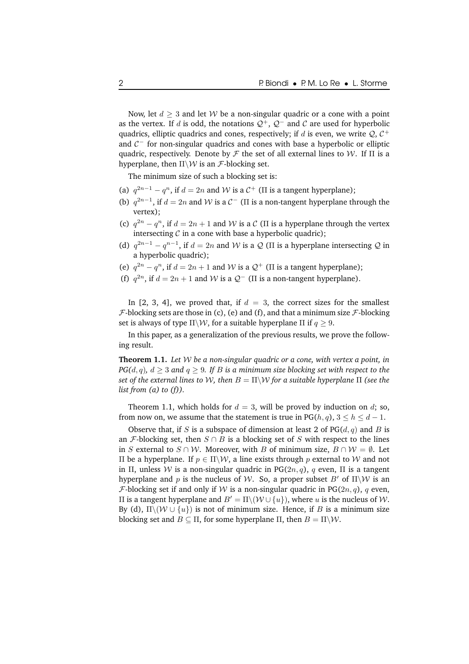Now, let  $d \geq 3$  and let W be a non-singular quadric or a cone with a point as the vertex. If d is odd, the notations  $Q^+$ ,  $Q^-$  and C are used for hyperbolic quadrics, elliptic quadrics and cones, respectively; if  $d$  is even, we write  $\mathcal{Q}, \mathcal{C}^+$ and  $C^-$  for non-singular quadrics and cones with base a hyperbolic or elliptic quadric, respectively. Denote by  $\mathcal F$  the set of all external lines to W. If  $\Pi$  is a hyperplane, then  $\Pi\backslash W$  is an *F*-blocking set.

The minimum size of such a blocking set is:

- (a)  $q^{2n-1} q^n$ , if  $d = 2n$  and W is a  $C^+$  ( $\Pi$  is a tangent hyperplane);
- (b)  $q^{2n-1}$ , if  $d = 2n$  and W is a  $C^-$  ( $\Pi$  is a non-tangent hyperplane through the vertex);
- (c)  $q^{2n} q^n$ , if  $d = 2n + 1$  and W is a C (II is a hyperplane through the vertex intersecting  $\mathcal C$  in a cone with base a hyperbolic quadric);
- (d)  $q^{2n-1} q^{n-1}$ , if  $d = 2n$  and W is a Q (II is a hyperplane intersecting Q in a hyperbolic quadric);
- (e)  $q^{2n} q^n$ , if  $d = 2n + 1$  and W is a  $\mathcal{Q}^+$  ( $\Pi$  is a tangent hyperplane);
- (f)  $q^{2n}$ , if  $d = 2n + 1$  and W is a  $Q^-$  ( $\Pi$  is a non-tangent hyperplane).

In [2, 3, 4], we proved that, if  $d = 3$ , the correct sizes for the smallest  $F$ -blocking sets are those in (c), (e) and (f), and that a minimum size  $\mathcal F$ -blocking set is always of type  $\Pi\backslash\mathcal{W}$ , for a suitable hyperplane  $\Pi$  if  $q > 9$ .

In this paper, as a generalization of the previous results, we prove the following result.

**Theorem 1.1.** *Let* W *be a non-singular quadric or a cone, with vertex a point, in PG(d, q), d*  $\geq$  3 *and q*  $\geq$  9*. If B is a minimum size blocking set with respect to the set of the external lines to* W*, then* B = Π\W *for a suitable hyperplane* Π *(see the list from (a) to (f)).*

Theorem 1.1, which holds for  $d = 3$ , will be proved by induction on d; so, from now on, we assume that the statement is true in PG( $h, q$ ),  $3 \le h \le d - 1$ .

Observe that, if S is a subspace of dimension at least 2 of  $PG(d, q)$  and B is an *F*-blocking set, then  $S \cap B$  is a blocking set of S with respect to the lines in S external to  $S \cap W$ . Moreover, with B of minimum size,  $B \cap W = \emptyset$ . Let II be a hyperplane. If  $p ∈ Π\W$ , a line exists through p external to W and not in Π, unless W is a non-singular quadric in PG( $2n, q$ ), q even, Π is a tangent hyperplane and p is the nucleus of W. So, a proper subset B' of  $\Pi\setminus W$  is an *F*-blocking set if and only if *W* is a non-singular quadric in PG( $2n, q$ ), q even, II is a tangent hyperplane and  $B' = \Pi \setminus (W \cup \{u\})$ , where *u* is the nucleus of *W*. By (d),  $\Pi\setminus\{W\cup\{u\}\}\$ is not of minimum size. Hence, if B is a minimum size blocking set and  $B \subseteq \Pi$ , for some hyperplane  $\Pi$ , then  $B = \Pi \setminus \mathcal{W}$ .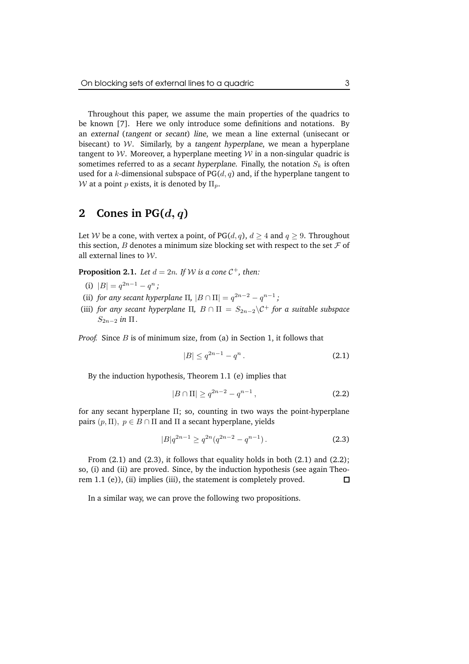Throughout this paper, we assume the main properties of the quadrics to be known [7]. Here we only introduce some definitions and notations. By an external (tangent or secant) line, we mean a line external (unisecant or bisecant) to  $W$ . Similarly, by a tangent hyperplane, we mean a hyperplane tangent to W. Moreover, a hyperplane meeting  $W$  in a non-singular quadric is sometimes referred to as a secant hyperplane. Finally, the notation  $S_k$  is often used for a k-dimensional subspace of  $PG(d, q)$  and, if the hyperplane tangent to W at a point p exists, it is denoted by  $\Pi_p$ .

### **2 Cones** in  $PG(d, q)$

Let W be a cone, with vertex a point, of PG(d, q),  $d \geq 4$  and  $q \geq 9$ . Throughout this section,  $B$  denotes a minimum size blocking set with respect to the set  $\mathcal F$  of all external lines to  $W$ .

**Proposition 2.1.** *Let*  $d = 2n$ *. If*  $W$  *is a cone*  $C^+$ *, then:* 

- (i)  $|B| = q^{2n-1} q^n;$
- (ii) *for any secant hyperplane*  $\Pi$ ,  $|B \cap \Pi| = q^{2n-2} q^{n-1}$ ;
- (iii) *for any secant hyperplane*  $\Pi$ ,  $B \cap \Pi = S_{2n-2} \setminus C^+$  *for a suitable subspace*  $S_{2n-2}$  *in*  $\Pi$ .

*Proof.* Since *B* is of minimum size, from (a) in Section 1, it follows that

$$
|B| \le q^{2n-1} - q^n. \tag{2.1}
$$

By the induction hypothesis, Theorem 1.1 (e) implies that

$$
|B \cap \Pi| \ge q^{2n-2} - q^{n-1}, \tag{2.2}
$$

for any secant hyperplane Π; so, counting in two ways the point-hyperplane pairs  $(p, \Pi)$ ,  $p \in B \cap \Pi$  and  $\Pi$  a secant hyperplane, yields

$$
|B|q^{2n-1} \ge q^{2n}(q^{2n-2} - q^{n-1}).
$$
\n(2.3)

From (2.1) and (2.3), it follows that equality holds in both (2.1) and (2.2); so, (i) and (ii) are proved. Since, by the induction hypothesis (see again Theorem 1.1 (e)), (ii) implies (iii), the statement is completely proved.  $\Box$ 

In a similar way, we can prove the following two propositions.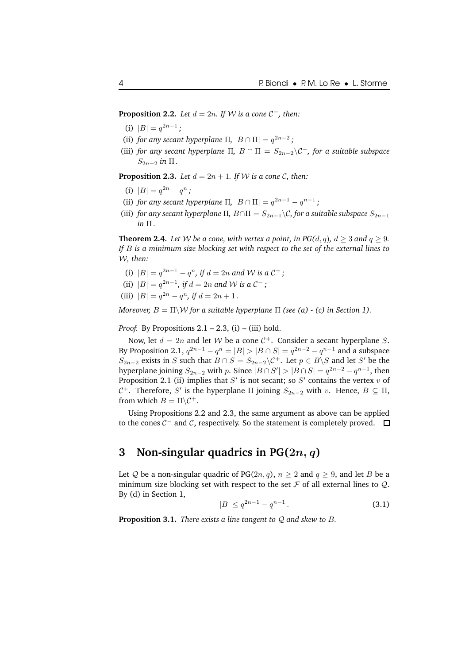**Proposition 2.2.** *Let*  $d = 2n$ *. If*  $W$  *is*  $a$  *cone*  $C^-$ *, then:* 

- (i)  $|B| = q^{2n-1}$ ;
- (ii) *for any secant hyperplane*  $\Pi$ ,  $|B \cap \Pi| = q^{2n-2}$ ;
- (iii) *for any secant hyperplane*  $\Pi$ ,  $B \cap \Pi = S_{2n-2} \setminus C^-$ *, for a suitable subspace*  $S_{2n-2}$  *in*  $\Pi$ .

**Proposition 2.3.** *Let*  $d = 2n + 1$ *. If W is a cone C, then:* 

- (i)  $|B| = q^{2n} q^n$ ;
- (ii) *for any secant hyperplane*  $\Pi$ ,  $|B \cap \Pi| = q^{2n-1} q^{n-1}$ ;
- (iii) *for any secant hyperplane*  $\Pi$ ,  $B \cap \Pi = S_{2n-1} \setminus C$ , *for a suitable subspace*  $S_{2n-1}$ *in* Π *.*

**Theorem 2.4.** Let W be a cone, with vertex a point, in PG(d, q),  $d > 3$  and  $q > 9$ . *If* B *is a minimum size blocking set with respect to the set of the external lines to* W*, then:*

- (i)  $|B| = q^{2n-1} q^n$ , if  $d = 2n$  and W is a  $C^+$ ;
- (ii)  $|B| = q^{2n-1}$ , if  $d = 2n$  and W is a  $C^-$ ;
- (iii)  $|B| = q^{2n} q^n$ , if  $d = 2n + 1$ .

*Moreover,*  $B = \Pi \backslash W$  *for a suitable hyperplane*  $\Pi$  *(see (a) - (c) in Section 1).* 

*Proof.* By Propositions  $2.1 - 2.3$ , (i) – (iii) hold.

Now, let  $d = 2n$  and let W be a cone  $C^+$ . Consider a secant hyperplane S. By Proposition 2.1,  $q^{2n-1} - q^n = |B| > |B \cap S| = q^{2n-2} - q^{n-1}$  and a subspace  $S_{2n-2}$  exists in S such that  $B \cap S = S_{2n-2} \backslash C^+$ . Let  $p \in B \backslash S$  and let S' be the hyperplane joining  $S_{2n-2}$  with p. Since  $|B \cap S'| > |B \cap S| = q^{2n-2} - q^{n-1}$ , then Proposition 2.1 (ii) implies that  $S'$  is not secant; so  $S'$  contains the vertex  $v$  of  $C$ <sup>+</sup>. Therefore, S' is the hyperplane Π joining  $S_{2n-2}$  with v. Hence,  $B \subseteq \Pi$ , from which  $B = \Pi \backslash C^+$ .

Using Propositions 2.2 and 2.3, the same argument as above can be applied to the cones  $C^-$  and  $C$ , respectively. So the statement is completely proved.

### **3 Non-singular quadrics in PG(**2n, q**)**

Let Q be a non-singular quadric of PG(2n, q),  $n \ge 2$  and  $q \ge 9$ , and let B be a minimum size blocking set with respect to the set  $\mathcal F$  of all external lines to  $\mathcal Q$ . By (d) in Section 1,

$$
|B| \le q^{2n-1} - q^{n-1} \,. \tag{3.1}
$$

**Proposition 3.1.** *There exists a line tangent to* Q *and skew to* B*.*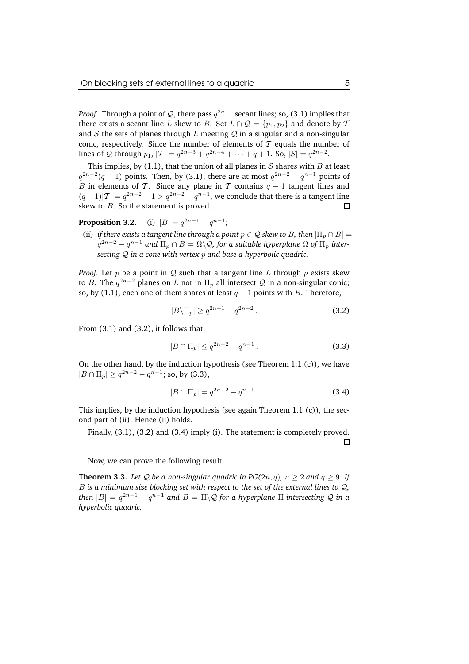*Proof.* Through a point of  $Q$ , there pass  $q^{2n-1}$  secant lines; so, (3.1) implies that there exists a secant line L skew to B. Set  $L \cap Q = \{p_1, p_2\}$  and denote by T and  $S$  the sets of planes through  $L$  meeting  $Q$  in a singular and a non-singular conic, respectively. Since the number of elements of  $T$  equals the number of lines of Q through  $p_1$ ,  $|T| = q^{2n-3} + q^{2n-4} + \cdots + q + 1$ . So,  $|S| = q^{2n-2}$ .

This implies, by (1.1), that the union of all planes in  $S$  shares with  $B$  at least  $q^{2n-2}(q-1)$  points. Then, by (3.1), there are at most  $q^{2n-2} - q^{n-1}$  points of B in elements of T. Since any plane in T contains  $q - 1$  tangent lines and  $(q-1)|T| = q^{2n-2} - 1 > q^{2n-2} - q^{n-1}$ , we conclude that there is a tangent line skew to  $B$ . So the statement is proved.  $\Box$ 

**Proposition 3.2.** (i)  $|B| = q^{2n-1} - q^{n-1}$ ;

(ii) *if there exists a tangent line through a point*  $p \in \mathcal{Q}$  *skew to B, then*  $|\Pi_p \cap B|$  =  $q^{2n-2} - q^{n-1}$  and  $\Pi_p \cap B = \Omega \backslash \mathcal{Q}$ , for a suitable hyperplane  $\Omega$  of  $\Pi_p$  inter*secting* Q *in a cone with vertex* p *and base a hyperbolic quadric.*

*Proof.* Let  $p$  be a point in  $Q$  such that a tangent line  $L$  through  $p$  exists skew to B. The  $q^{2n-2}$  planes on L not in  $\Pi_p$  all intersect Q in a non-singular conic; so, by (1.1), each one of them shares at least  $q - 1$  points with B. Therefore,

$$
|B\backslash \Pi_p| \ge q^{2n-1} - q^{2n-2}.
$$
 (3.2)

From (3.1) and (3.2), it follows that

$$
|B \cap \Pi_p| \le q^{2n-2} - q^{n-1}.
$$
 (3.3)

On the other hand, by the induction hypothesis (see Theorem 1.1 (c)), we have  $|B \cap \Pi_p| \ge q^{2n-2} - q^{n-1}$ ; so, by (3.3),

$$
|B \cap \Pi_p| = q^{2n-2} - q^{n-1}.
$$
 (3.4)

This implies, by the induction hypothesis (see again Theorem 1.1 (c)), the second part of (ii). Hence (ii) holds.

Finally, (3.1), (3.2) and (3.4) imply (i). The statement is completely proved. □

Now, we can prove the following result.

**Theorem 3.3.** Let Q be a non-singular quadric in PG(2n, q),  $n \ge 2$  and  $q \ge 9$ . If B *is a minimum size blocking set with respect to the set of the external lines to* Q*, then*  $|B| = q^{2n-1} - q^{n-1}$  and  $B = \Pi \backslash \mathcal{Q}$  for a hyperplane  $\Pi$  intersecting  $\mathcal Q$  in a *hyperbolic quadric.*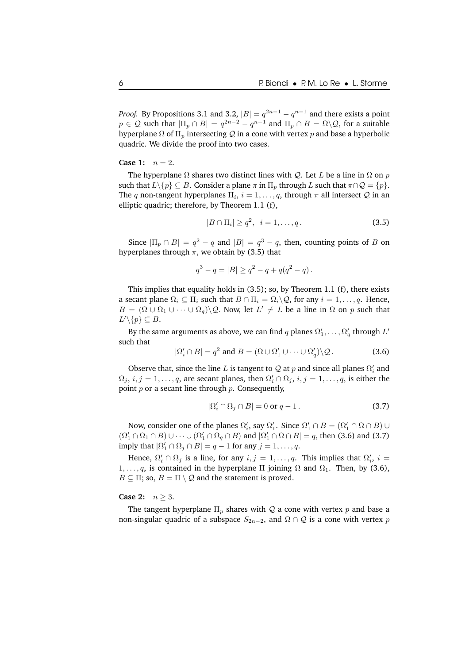*Proof.* By Propositions 3.1 and 3.2,  $|B| = q^{2n-1} - q^{n-1}$  and there exists a point  $p \in \mathcal{Q}$  such that  $|\Pi_p \cap B| = q^{2n-2} - q^{n-1}$  and  $\Pi_p \cap B = \Omega \backslash \mathcal{Q}$ , for a suitable hyperplane  $\Omega$  of  $\Pi_n$  intersecting  $\mathcal Q$  in a cone with vertex p and base a hyperbolic quadric. We divide the proof into two cases.

#### **Case 1:**  $n = 2$ .

The hyperplane  $\Omega$  shares two distinct lines with Q. Let L be a line in  $\Omega$  on p such that  $L\backslash\{p\} \subseteq B$ . Consider a plane  $\pi$  in  $\Pi_p$  through  $L$  such that  $\pi \cap \mathcal{Q} = \{p\}$ . The  $q$  non-tangent hyperplanes  $\Pi_i$ ,  $i = 1, \ldots, q$ , through  $\pi$  all intersect  $\mathcal Q$  in an elliptic quadric; therefore, by Theorem 1.1 (f),

$$
|B \cap \Pi_i| \ge q^2, \quad i = 1, \dots, q. \tag{3.5}
$$

Since  $|\Pi_p \cap B| = q^2 - q$  and  $|B| = q^3 - q$ , then, counting points of B on hyperplanes through  $\pi$ , we obtain by (3.5) that

$$
q^3 - q = |B| \ge q^2 - q + q(q^2 - q).
$$

This implies that equality holds in (3.5); so, by Theorem 1.1 (f), there exists a secant plane  $\Omega_i \subseteq \Pi_i$  such that  $B \cap \Pi_i = \Omega_i \backslash Q$ , for any  $i = 1, \ldots, q$ . Hence,  $B = (\Omega \cup \Omega_1 \cup \cdots \cup \Omega_q) \backslash Q$ . Now, let  $L' \neq L$  be a line in  $\Omega$  on p such that  $L'\backslash\{p\}\subseteq B.$ 

By the same arguments as above, we can find  $q$  planes  $\Omega'_1,\ldots,\Omega'_q$  through  $L'$ such that

$$
|\Omega'_i \cap B| = q^2 \text{ and } B = (\Omega \cup \Omega'_1 \cup \dots \cup \Omega'_q) \backslash \mathcal{Q}. \tag{3.6}
$$

Observe that, since the line L is tangent to Q at  $p$  and since all planes  $\Omega_i'$  and  $\Omega_j$ ,  $i, j = 1, \ldots, q$ , are secant planes, then  $\Omega'_i \cap \Omega_j$ ,  $i, j = 1, \ldots, q$ , is either the point  $p$  or a secant line through  $p$ . Consequently,

$$
|\Omega'_i \cap \Omega_j \cap B| = 0 \text{ or } q - 1. \tag{3.7}
$$

Now, consider one of the planes  $\Omega'_i$ , say  $\Omega'_1$ . Since  $\Omega'_1 \cap B = (\Omega'_1 \cap \Omega \cap B) \cup$  $(\Omega'_1 \cap \Omega_1 \cap B) \cup \cdots \cup (\Omega'_1 \cap \Omega_q \cap B)$  and  $|\Omega'_1 \cap \Omega \cap B| = q$ , then (3.6) and (3.7) imply that  $|\Omega'_1 \cap \Omega_j \cap B| = q - 1$  for any  $j = 1, \ldots, q$ .

Hence,  $\Omega'_i \cap \Omega_j$  is a line, for any  $i, j = 1, \ldots, q$ . This implies that  $\Omega'_i$ ,  $i =$  $1, \ldots, q$ , is contained in the hyperplane  $\Pi$  joining  $\Omega$  and  $\Omega_1$ . Then, by (3.6),  $B \subseteq \Pi$ ; so,  $B = \Pi \setminus Q$  and the statement is proved.

#### **Case 2:**  $n \geq 3$ .

The tangent hyperplane  $\Pi_p$  shares with Q a cone with vertex p and base a non-singular quadric of a subspace  $S_{2n-2}$ , and  $\Omega \cap \mathcal{Q}$  is a cone with vertex p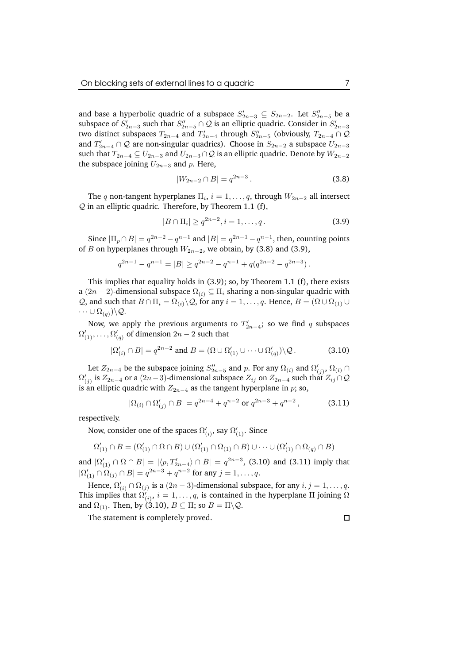and base a hyperbolic quadric of a subspace  $S'_{2n-3} \subseteq S_{2n-2}$ . Let  $S''_{2n-5}$  be a subspace of  $S'_{2n-3}$  such that  $S''_{2n-5} \cap \mathcal{Q}$  is an elliptic quadric. Consider in  $S'_{2n-3}$ two distinct subspaces  $T_{2n-4}$  and  $T'_{2n-4}$  through  $S''_{2n-5}$  (obviously,  $T_{2n-4} \cap \mathcal{Q}$ and  $T'_{2n-4} \cap Q$  are non-singular quadrics). Choose in  $S_{2n-2}$  a subspace  $U_{2n-3}$ such that  $T_{2n-4} \subseteq U_{2n-3}$  and  $U_{2n-3} \cap Q$  is an elliptic quadric. Denote by  $W_{2n-2}$ the subspace joining  $U_{2n-3}$  and  $p$ . Here,

$$
|W_{2n-2} \cap B| = q^{2n-3}.
$$
 (3.8)

The q non-tangent hyperplanes  $\Pi_i$ ,  $i = 1, \ldots, q$ , through  $W_{2n-2}$  all intersect  $Q$  in an elliptic quadric. Therefore, by Theorem 1.1 (f),

$$
|B \cap \Pi_i| \ge q^{2n-2}, i = 1, \dots, q.
$$
 (3.9)

Since  $|\Pi_p \cap B| = q^{2n-2} - q^{n-1}$  and  $|B| = q^{2n-1} - q^{n-1}$ , then, counting points of B on hyperplanes through  $W_{2n-2}$ , we obtain, by (3.8) and (3.9),

$$
q^{2n-1} - q^{n-1} = |B| \ge q^{2n-2} - q^{n-1} + q(q^{2n-2} - q^{2n-3}).
$$

This implies that equality holds in (3.9); so, by Theorem 1.1 (f), there exists a (2n − 2)-dimensional subspace  $\Omega(i) \subseteq \Pi_i$  sharing a non-singular quadric with *Q*, and such that  $B \cap \Pi_i = \Omega_{(i)} \backslash Q$ , for any  $i = 1, \ldots, q$ . Hence,  $B = (\Omega \cup \Omega_{(1)} \cup Q)$  $\cdots \cup \Omega_{(q)}\rangle\backslash \mathcal{Q}.$ 

Now, we apply the previous arguments to  $T'_{2n-4}$ ; so we find q subspaces  $\Omega'_{(1)},\ldots,\Omega'_{(q)}$  of dimension  $2n-2$  such that

$$
|\Omega'_{(i)} \cap B| = q^{2n-2} \text{ and } B = (\Omega \cup \Omega'_{(1)} \cup \cdots \cup \Omega'_{(q)}) \backslash \mathcal{Q}. \tag{3.10}
$$

Let  $Z_{2n-4}$  be the subspace joining  $S''_{2n-5}$  and  $p$ . For any  $\Omega_{(i)}$  and  $\Omega'_{(j)}$ ,  $\Omega_{(i)}$  ∩  $\Omega'_{(j)}$  is  $Z_{2n-4}$  or a  $(2n-3)$ -dimensional subspace  $Z_{ij}$  on  $Z_{2n-4}$  such that  $Z_{ij}\cap {\cal Q}$ is an elliptic quadric with  $Z_{2n-4}$  as the tangent hyperplane in p; so,

$$
|\Omega(i) \cap \Omega'_{(j)} \cap B| = q^{2n-4} + q^{n-2} \text{ or } q^{2n-3} + q^{n-2},
$$
 (3.11)

respectively.

Now, consider one of the spaces  $\Omega'_{(i)},$  say  $\Omega'_{(1)}.$  Since

$$
\Omega'_{(1)}\cap B=(\Omega'_{(1)}\cap\Omega\cap B)\cup(\Omega'_{(1)}\cap\Omega_{(1)}\cap B)\cup\cdots\cup(\Omega'_{(1)}\cap\Omega_{(q)}\cap B)
$$

and  $|\Omega'_{(1)} \cap \Omega \cap B|$  =  $|\langle p, T'_{2n-4} \rangle \cap B|$  =  $q^{2n-3}$ , (3.10) and (3.11) imply that  $|\Omega'_{(1)} \cap \Omega_{(j)} \cap B| = q^{2n-3} + q^{n-2}$  for any  $j = 1, \ldots, q$ .

Hence,  $\Omega'_{(i)} \cap \Omega_{(j)}$  is a  $(2n-3)$ -dimensional subspace, for any  $i, j = 1, \ldots, q$ . This implies that  $\Omega'_{(i)}, i = 1, \ldots, q$ , is contained in the hyperplane  $\Pi$  joining  $\Omega$ and  $\Omega_{(1)}$ . Then, by (3.10),  $B \subseteq \Pi$ ; so  $B = \Pi \backslash Q$ .

The statement is completely proved.

 $\Box$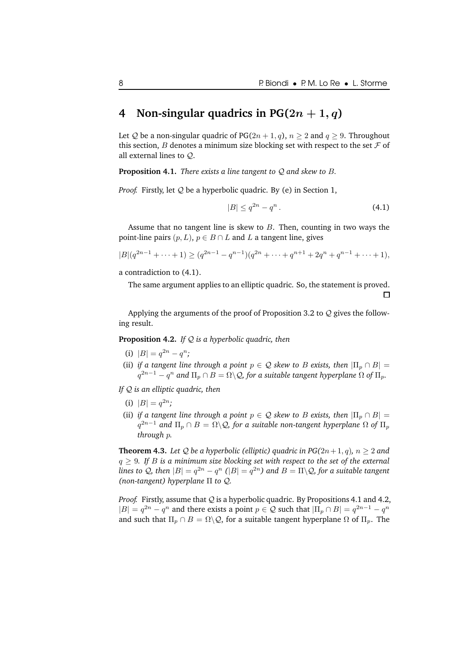### **4 Non-singular quadrics** in  $PG(2n + 1, q)$

Let Q be a non-singular quadric of PG( $2n + 1, q$ ),  $n \ge 2$  and  $q \ge 9$ . Throughout this section, B denotes a minimum size blocking set with respect to the set  $\mathcal F$  of all external lines to Q.

**Proposition 4.1.** *There exists a line tangent to* Q *and skew to* B*.*

*Proof.* Firstly, let Q be a hyperbolic quadric. By (e) in Section 1,

$$
|B| \le q^{2n} - q^n. \tag{4.1}
$$

□

Assume that no tangent line is skew to  $B$ . Then, counting in two ways the point-line pairs  $(p, L)$ ,  $p \in B \cap L$  and L a tangent line, gives

$$
|B|(q^{2n-1}+\cdots+1) \ge (q^{2n-1}-q^{n-1})(q^{2n}+\cdots+q^{n+1}+2q^n+q^{n-1}+\cdots+1),
$$

a contradiction to (4.1).

The same argument applies to an elliptic quadric. So, the statement is proved.

Applying the arguments of the proof of Proposition 3.2 to  $Q$  gives the following result.

**Proposition 4.2.** *If* Q *is a hyperbolic quadric, then*

- (i)  $|B| = q^{2n} q^n;$
- (ii) *if a tangent line through a point*  $p \in Q$  *skew to B exists, then*  $|\Pi_p \cap B|$  =  $q^{2n-1} - q^n$  and  $\Pi_p \cap B = \Omega \backslash Q$ , for a suitable tangent hyperplane  $\Omega$  of  $\Pi_p.$

*If* Q *is an elliptic quadric, then*

- (i)  $|B| = q^{2n}$ ;
- (ii) *if a tangent line through a point*  $p \in Q$  *skew to B exists, then*  $|\Pi_p \cap B|$  =  $q^{2n-1}$  and  $\Pi_p \cap B = \Omega \backslash \mathcal{Q}$ , for a suitable non-tangent hyperplane  $\Omega$  of  $\Pi_p$ *through* p*.*

**Theorem 4.3.** Let Q be a hyperbolic (elliptic) quadric in  $PG(2n+1, q)$ ,  $n \ge 2$  and  $q \geq 9$ . If B is a minimum size blocking set with respect to the set of the external *lines to Q, then*  $|B| = q^{2n} - q^n$   $(|B| = q^{2n})$  *and*  $B = \Pi \backslash Q$ *, for a suitable tangent (non-tangent) hyperplane* Π *to* Q*.*

*Proof.* Firstly, assume that Q is a hyperbolic quadric. By Propositions 4.1 and 4.2,  $|B| = q^{2n} - q^n$  and there exists a point  $p \in \mathcal{Q}$  such that  $|\Pi_p \cap B| = q^{2n-1} - q^n$ and such that  $\Pi_p \cap B = \Omega \backslash Q$ , for a suitable tangent hyperplane  $\Omega$  of  $\Pi_p$ . The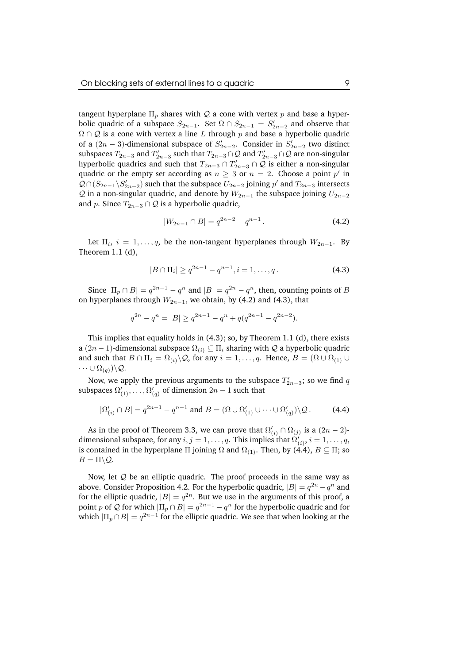tangent hyperplane  $\Pi_p$  shares with Q a cone with vertex p and base a hyperbolic quadric of a subspace  $S_{2n-1}$ . Set  $\Omega \cap S_{2n-1} = S'_{2n-2}$  and observe that  $\Omega \cap \mathcal{Q}$  is a cone with vertex a line L through p and base a hyperbolic quadric of a  $(2n-3)$ -dimensional subspace of  $S'_{2n-2}$ . Consider in  $S'_{2n-2}$  two distinct subspaces  $T_{2n-3}$  and  $T'_{2n-3}$  such that  $T_{2n-3} \cap \mathcal{Q}$  and  $T'_{2n-3} \cap \mathcal{Q}$  are non-singular hyperbolic quadrics and such that  $T_{2n-3} \cap T'_{2n-3} \cap Q$  is either a non-singular quadric or the empty set according as  $n \geq 3$  or  $n = 2$ . Choose a point  $p'$  in  $Q \cap (S_{2n-1} \setminus S'_{2n-2})$  such that the subspace  $U_{2n-2}$  joining  $p'$  and  $T_{2n-3}$  intersects  $Q$  in a non-singular quadric, and denote by  $W_{2n-1}$  the subspace joining  $U_{2n-2}$ and p. Since  $T_{2n-3} \cap Q$  is a hyperbolic quadric,

$$
|W_{2n-1} \cap B| = q^{2n-2} - q^{n-1}.
$$
 (4.2)

Let  $\Pi_i$ ,  $i = 1, \ldots, q$ , be the non-tangent hyperplanes through  $W_{2n-1}$ . By Theorem 1.1 (d),

$$
|B \cap \Pi_i| \ge q^{2n-1} - q^{n-1}, i = 1, \dots, q.
$$
 (4.3)

Since  $|\Pi_p \cap B| = q^{2n-1} - q^n$  and  $|B| = q^{2n} - q^n$ , then, counting points of B on hyperplanes through  $W_{2n-1}$ , we obtain, by (4.2) and (4.3), that

$$
q^{2n} - q^n = |B| \ge q^{2n-1} - q^n + q(q^{2n-1} - q^{2n-2}).
$$

This implies that equality holds in (4.3); so, by Theorem 1.1 (d), there exists a (2n − 1)-dimensional subspace  $\Omega(i) \subseteq \Pi_i$  sharing with Q a hyperbolic quadric and such that  $B \cap \Pi_i = \Omega_{(i)} \backslash Q$ , for any  $i = 1, \ldots, q$ . Hence,  $B = (\Omega \cup \Omega_{(1)} \cup$  $\cdots \cup \Omega_{(q)}\rangle\backslash \mathcal{Q}.$ 

Now, we apply the previous arguments to the subspace  $T'_{2n-3}$ ; so we find q subspaces  $\Omega'_{(1)},\ldots,\Omega'_{(q)}$  of dimension  $2n-1$  such that

$$
|\Omega'_{(i)} \cap B| = q^{2n-1} - q^{n-1} \text{ and } B = (\Omega \cup \Omega'_{(1)} \cup \cdots \cup \Omega'_{(q)}) \backslash \mathcal{Q}.
$$
 (4.4)

As in the proof of Theorem 3.3, we can prove that  $\Omega'_{(i)} \cap \Omega_{(j)}$  is a  $(2n-2)$ dimensional subspace, for any  $i,j=1,\ldots,q.$  This implies that  $\Omega'_{(i)},$   $i=1,\ldots,q,$ is contained in the hyperplane Π joining  $\Omega$  and  $\Omega_{(1)}$ . Then, by (4.4),  $B \subseteq \Pi$ ; so  $B = \Pi \backslash Q$ .

Now, let Q be an elliptic quadric. The proof proceeds in the same way as above. Consider Proposition 4.2. For the hyperbolic quadric,  $|B| = q^{2n} - q^n$  and for the elliptic quadric,  $|B| = q^{2n}$ . But we use in the arguments of this proof, a point p of Q for which  $|\Pi_p \cap B| = q^{2n-1} - q^n$  for the hyperbolic quadric and for which  $|\Pi_p\cap B|=q^{2n-1}$  for the elliptic quadric. We see that when looking at the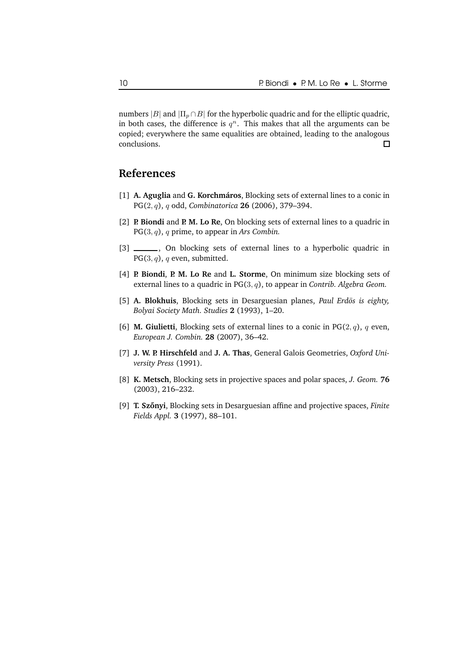numbers |B| and  $|\Pi_n \cap B|$  for the hyperbolic quadric and for the elliptic quadric, in both cases, the difference is  $q^n$ . This makes that all the arguments can be copied; everywhere the same equalities are obtained, leading to the analogous conclusions.  $\Box$ 

# **References**

- [1] **A. Aguglia** and **G. Korchmaros ´** , Blocking sets of external lines to a conic in PG(2, q), q odd, *Combinatorica* **26** (2006), 379–394.
- [2] **P. Biondi** and **P. M. Lo Re**, On blocking sets of external lines to a quadric in PG(3, q), q prime, to appear in *Ars Combin.*
- [3] \_\_\_\_\_\_, On blocking sets of external lines to a hyperbolic quadric in  $PG(3, q)$ , q even, submitted.
- [4] **P. Biondi**, **P. M. Lo Re** and **L. Storme**, On minimum size blocking sets of external lines to a quadric in PG(3, q), to appear in *Contrib. Algebra Geom.*
- [5] A. Blokhuis, Blocking sets in Desarguesian planes, *Paul Erdös is eighty*, *Bolyai Society Math. Studies* **2** (1993), 1–20.
- [6] **M. Giulietti**, Blocking sets of external lines to a conic in  $PG(2, q)$ , q even, *European J. Combin.* **28** (2007), 36–42.
- [7] **J. W. P. Hirschfeld** and **J. A. Thas**, General Galois Geometries, *Oxford University Press* (1991).
- [8] **K. Metsch**, Blocking sets in projective spaces and polar spaces, *J. Geom.* **76** (2003), 216–232.
- [9] **T. Szonyi ˝** , Blocking sets in Desarguesian affine and projective spaces, *Finite Fields Appl.* **3** (1997), 88–101.